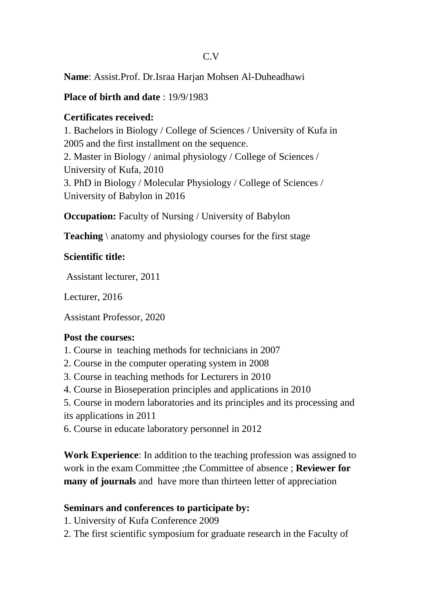#### C.V

**Name**: Assist.Prof. Dr.Israa Harjan Mohsen Al-Duheadhawi

#### **Place of birth and date** : 19/9/1983

### **Certificates received:**

1. Bachelors in Biology / College of Sciences / University of Kufa in 2005 and the first installment on the sequence. 2. Master in Biology / animal physiology / College of Sciences / University of Kufa, 2010 3. PhD in Biology / Molecular Physiology / College of Sciences / University of Babylon in 2016

**Occupation:** Faculty of Nursing / University of Babylon

**Teaching** \ anatomy and physiology courses for the first stage

### **Scientific title:**

Assistant lecturer, 2011

Lecturer, 2016

Assistant Professor, 2020

# **Post the courses:**

- 1. Course in teaching methods for technicians in 2007
- 2. Course in the computer operating system in 2008
- 3. Course in teaching methods for Lecturers in 2010
- 4. Course in Bioseperation principles and applications in 2010
- 5. Course in modern laboratories and its principles and its processing and its applications in 2011
- 6. Course in educate laboratory personnel in 2012

**Work Experience**: In addition to the teaching profession was assigned to work in the exam Committee ;the Committee of absence ; **Reviewer for many of journals** and have more than thirteen letter of appreciation

# **Seminars and conferences to participate by:**

- 1. University of Kufa Conference 2009
- 2. The first scientific symposium for graduate research in the Faculty of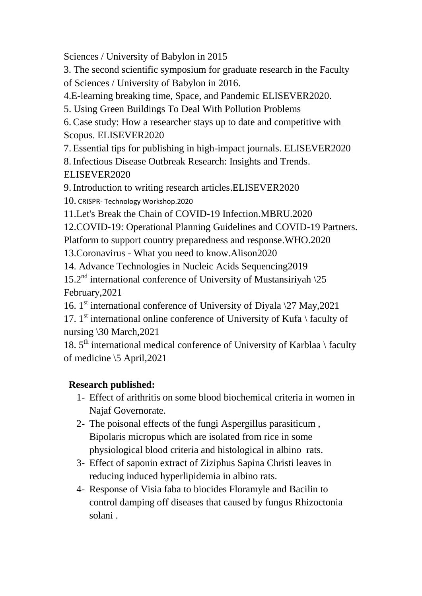Sciences / University of Babylon in 2015

3. The second scientific symposium for graduate research in the Faculty of Sciences / University of Babylon in 2016.

4.E-learning breaking time, Space, and Pandemic ELISEVER2020.

5. Using Green Buildings To Deal With Pollution Problems

6. Case study: How a researcher stays up to date and competitive with Scopus. ELISEVER2020

7. Essential tips for publishing in high-impact journals. ELISEVER2020

8. Infectious Disease Outbreak Research: Insights and Trends. ELISEVER2020

9. Introduction to writing research articles.ELISEVER2020

10. CRISPR- Technology Workshop.2020

11.Let's Break the Chain of COVID-19 Infection.MBRU.2020

12.COVID-19: Operational Planning Guidelines and COVID-19 Partners.

Platform to support country preparedness and response.WHO.2020

13.Coronavirus - What you need to know.Alison2020

14. Advance Technologies in Nucleic Acids Sequencing2019

15.2<sup>nd</sup> international conference of University of Mustansiriyah  $\sqrt{25}$ February,2021

16. 1<sup>st</sup> international conference of University of Diyala \27 May,2021

17.  $1<sup>st</sup>$  international online conference of University of Kufa \ faculty of nursing \30 March,2021

18.  $5<sup>th</sup>$  international medical conference of University of Karblaa \ faculty of medicine \5 April,2021

# **Research published:**

- 1- Effect of arithritis on some blood biochemical criteria in women in Najaf Governorate.
- 2- The poisonal effects of the fungi Aspergillus parasiticum , Bipolaris micropus which are isolated from rice in some physiological blood criteria and histological in albino rats.
- 3- Effect of saponin extract of Ziziphus Sapina Christi leaves in reducing induced hyperlipidemia in albino rats.
- 4- Response of Visia faba to biocides Floramyle and Bacilin to control damping off diseases that caused by fungus Rhizoctonia solani .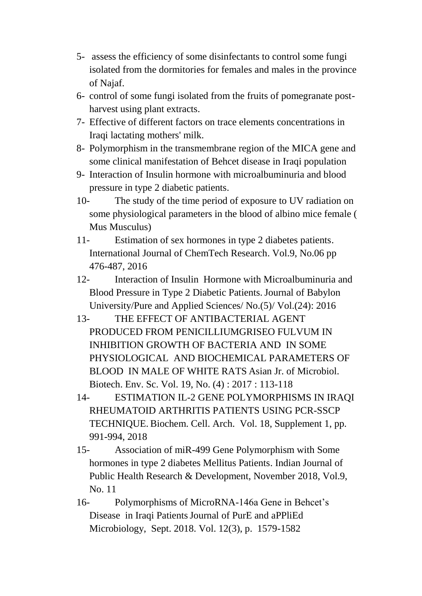- 5- assess the efficiency of some disinfectants to control some fungi isolated from the dormitories for females and males in the province of Najaf.
- 6- control of some fungi isolated from the fruits of pomegranate postharvest using plant extracts.
- 7- Effective of different factors on trace elements concentrations in Iraqi lactating mothers' milk.
- 8- Polymorphism in the transmembrane region of the MICA gene and some clinical manifestation of Behcet disease in Iraqi population
- 9- Interaction of Insulin hormone with microalbuminuria and blood pressure in type 2 diabetic patients.
- 10- The study of the time period of exposure to UV radiation on some physiological parameters in the blood of albino mice female ( Mus Musculus)
- 11- Estimation of sex hormones in type 2 diabetes patients. International Journal of ChemTech Research. Vol.9, No.06 pp 476-487, 2016
- 12- Interaction of Insulin Hormone with Microalbuminuria and Blood Pressure in Type 2 Diabetic Patients.Journal of Babylon University/Pure and Applied Sciences/ No.(5)/ Vol.(24): 2016
- 13- THE EFFECT OF ANTIBACTERIAL AGENT PRODUCED FROM PENICILLIUMGRISEO FULVUM IN INHIBITION GROWTH OF BACTERIA AND IN SOME PHYSIOLOGICAL AND BIOCHEMICAL PARAMETERS OF BLOOD IN MALE OF WHITE RATS Asian Jr. of Microbiol. Biotech. Env. Sc. Vol. 19, No. (4) : 2017 : 113-118
- 14- ESTIMATION IL-2 GENE POLYMORPHISMS IN IRAQI RHEUMATOID ARTHRITIS PATIENTS USING PCR-SSCP TECHNIQUE. Biochem. Cell. Arch. Vol. 18, Supplement 1, pp. 991-994, 2018
- 15- Association of miR-499 Gene Polymorphism with Some hormones in type 2 diabetes Mellitus Patients. Indian Journal of Public Health Research & Development, November 2018, Vol.9, No. 11
- 16- Polymorphisms of MicroRNA-146a Gene in Behcet's Disease in Iraqi PatientsJournal of PurE and aPPliEd Microbiology, Sept. 2018. Vol. 12(3), p. 1579-1582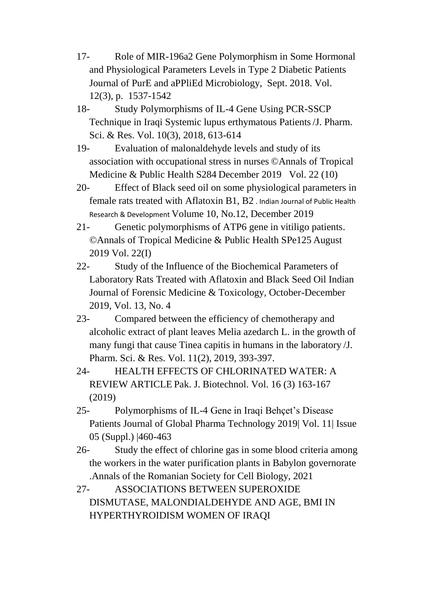- 17- Role of MIR-196a2 Gene Polymorphism in Some Hormonal and Physiological Parameters Levels in Type 2 Diabetic Patients Journal of PurE and aPPliEd Microbiology, Sept. 2018. Vol. 12(3), p. 1537-1542
- 18- Study Polymorphisms of IL-4 Gene Using PCR-SSCP Technique in Iraqi Systemic lupus erthymatous Patients/J. Pharm. Sci. & Res. Vol. 10(3), 2018, 613-614
- 19- Evaluation of malonaldehyde levels and study of its association with occupational stress in nurses ©Annals of Tropical Medicine & Public Health S284 December 2019 Vol. 22 (10)
- 20- Effect of Black seed oil on some physiological parameters in female rats treated with Aflatoxin B1, B2 . Indian Journal of Public Health Research & Development Volume 10, No.12, December 2019
- 21- Genetic polymorphisms of ATP6 gene in vitiligo patients. ©Annals of Tropical Medicine & Public Health SPe125 August 2019 Vol. 22(I)
- 22- Study of the Influence of the Biochemical Parameters of Laboratory Rats Treated with Aflatoxin and Black Seed Oil Indian Journal of Forensic Medicine & Toxicology, October-December 2019, Vol. 13, No. 4
- 23- Compared between the efficiency of chemotherapy and alcoholic extract of plant leaves Melia azedarch L. in the growth of many fungi that cause Tinea capitis in humans in the laboratory /J. Pharm. Sci. & Res. Vol. 11(2), 2019, 393-397.
- 24- HEALTH EFFECTS OF CHLORINATED WATER: A REVIEW ARTICLE Pak. J. Biotechnol. Vol. 16 (3) 163-167 (2019)
- 25- Polymorphisms of IL-4 Gene in Iraqi Behçet's Disease Patients Journal of Global Pharma Technology 2019| Vol. 11| Issue 05 (Suppl.) |460-463
- 26- [Study the effect of chlorine gas in some blood criteria among](https://scholar.google.com/scholar?oi=bibs&cluster=776100049549023143&btnI=1&hl=en)  [the workers in the water purification plants in Babylon governorate](https://scholar.google.com/scholar?oi=bibs&cluster=776100049549023143&btnI=1&hl=en) .Annals of the Romanian Society for Cell Biology, 2021
- 27- [ASSOCIATIONS BETWEEN SUPEROXIDE](https://scholar.google.com/scholar?oi=bibs&cluster=1194770537441718084&btnI=1&hl=en)  [DISMUTASE, MALONDIALDEHYDE AND AGE, BMI IN](https://scholar.google.com/scholar?oi=bibs&cluster=1194770537441718084&btnI=1&hl=en)  [HYPERTHYROIDISM WOMEN OF IRAQI](https://scholar.google.com/scholar?oi=bibs&cluster=1194770537441718084&btnI=1&hl=en)